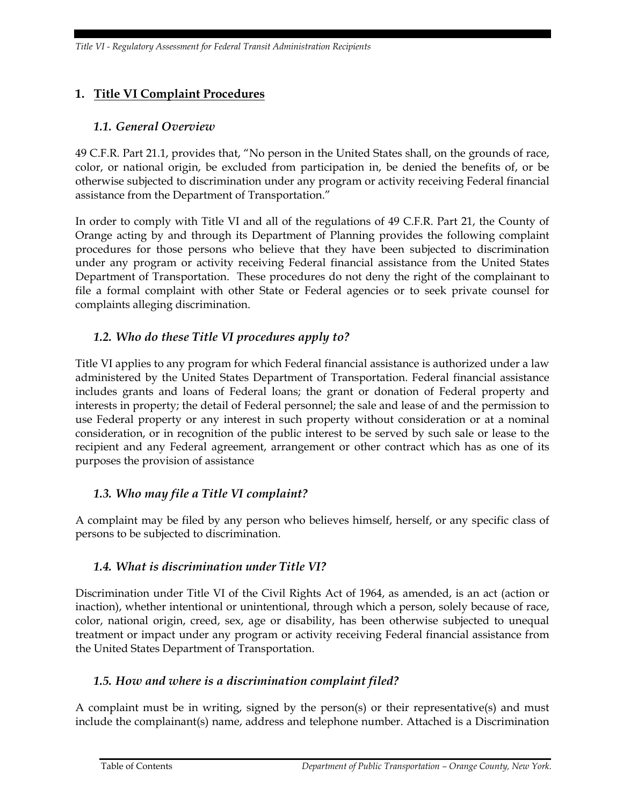# **1. Title VI Complaint Procedures**

### *1.1. General Overview*

49 C.F.R. Part 21.1, provides that, "No person in the United States shall, on the grounds of race, color, or national origin, be excluded from participation in, be denied the benefits of, or be otherwise subjected to discrimination under any program or activity receiving Federal financial assistance from the Department of Transportation."

In order to comply with Title VI and all of the regulations of 49 C.F.R. Part 21, the County of Orange acting by and through its Department of Planning provides the following complaint procedures for those persons who believe that they have been subjected to discrimination under any program or activity receiving Federal financial assistance from the United States Department of Transportation. These procedures do not deny the right of the complainant to file a formal complaint with other State or Federal agencies or to seek private counsel for complaints alleging discrimination.

## *1.2. Who do these Title VI procedures apply to?*

Title VI applies to any program for which Federal financial assistance is authorized under a law administered by the United States Department of Transportation. Federal financial assistance includes grants and loans of Federal loans; the grant or donation of Federal property and interests in property; the detail of Federal personnel; the sale and lease of and the permission to use Federal property or any interest in such property without consideration or at a nominal consideration, or in recognition of the public interest to be served by such sale or lease to the recipient and any Federal agreement, arrangement or other contract which has as one of its purposes the provision of assistance

#### *1.3. Who may file a Title VI complaint?*

A complaint may be filed by any person who believes himself, herself, or any specific class of persons to be subjected to discrimination.

## *1.4. What is discrimination under Title VI?*

Discrimination under Title VI of the Civil Rights Act of 1964, as amended, is an act (action or inaction), whether intentional or unintentional, through which a person, solely because of race, color, national origin, creed, sex, age or disability, has been otherwise subjected to unequal treatment or impact under any program or activity receiving Federal financial assistance from the United States Department of Transportation.

#### *1.5. How and where is a discrimination complaint filed?*

A complaint must be in writing, signed by the person(s) or their representative(s) and must include the complainant(s) name, address and telephone number. Attached is a Discrimination